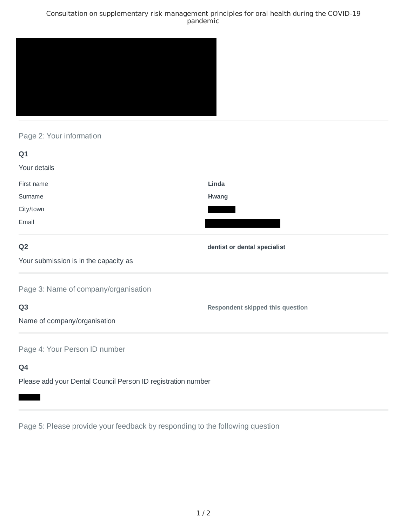## Consultation on supplementary risk management principles for oral health during the COVID-19 pandemic



## Page 2: Your information

| Q1                                                           |                                         |
|--------------------------------------------------------------|-----------------------------------------|
| Your details                                                 |                                         |
| First name                                                   | Linda                                   |
| Surname                                                      | Hwang                                   |
| City/town                                                    |                                         |
| Email                                                        |                                         |
| Q <sub>2</sub>                                               | dentist or dental specialist            |
| Your submission is in the capacity as                        |                                         |
| Page 3: Name of company/organisation                         |                                         |
| Q <sub>3</sub>                                               | <b>Respondent skipped this question</b> |
| Name of company/organisation                                 |                                         |
| Page 4: Your Person ID number                                |                                         |
| Q4                                                           |                                         |
| Please add your Dental Council Person ID registration number |                                         |

Page 5: Please provide your feedback by responding to the following question